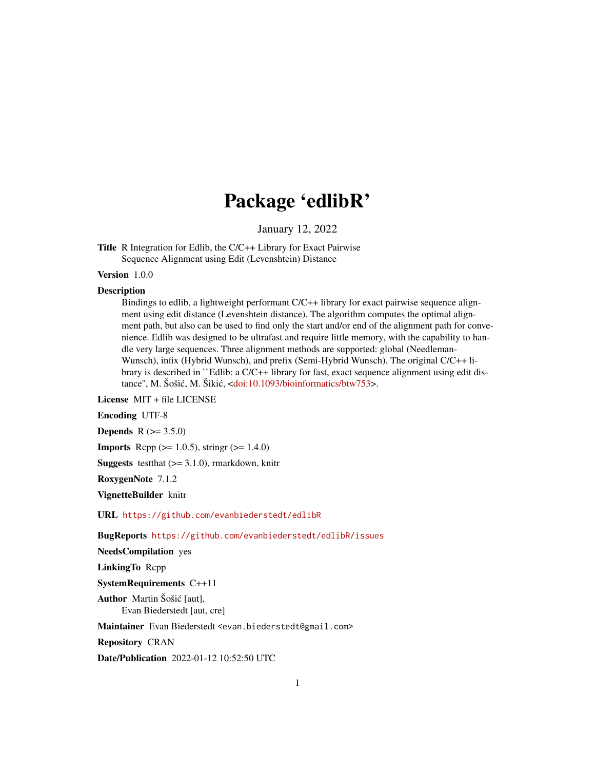## Package 'edlibR'

January 12, 2022

Title R Integration for Edlib, the C/C++ Library for Exact Pairwise Sequence Alignment using Edit (Levenshtein) Distance

Version 1.0.0

#### **Description**

Bindings to edlib, a lightweight performant C/C++ library for exact pairwise sequence alignment using edit distance (Levenshtein distance). The algorithm computes the optimal alignment path, but also can be used to find only the start and/or end of the alignment path for convenience. Edlib was designed to be ultrafast and require little memory, with the capability to handle very large sequences. Three alignment methods are supported: global (Needleman-Wunsch), infix (Hybrid Wunsch), and prefix (Semi-Hybrid Wunsch). The original C/C++ library is described in ``Edlib: a C/C++ library for fast, exact sequence alignment using edit distance", M. Šošić, M. Šikić, <[doi:10.1093/bioinformatics/btw753>](https://doi.org/10.1093/bioinformatics/btw753).

License MIT + file LICENSE

Encoding UTF-8

**Depends**  $R (= 3.5.0)$ 

**Imports** Rcpp ( $>= 1.0.5$ ), string ( $>= 1.4.0$ )

**Suggests** test that  $(>= 3.1.0)$ , rmarkdown, knitr

RoxygenNote 7.1.2

VignetteBuilder knitr

URL <https://github.com/evanbiederstedt/edlibR>

BugReports <https://github.com/evanbiederstedt/edlibR/issues>

NeedsCompilation yes

LinkingTo Rcpp

SystemRequirements C++11

Author Martin Šošić [aut], Evan Biederstedt [aut, cre]

Maintainer Evan Biederstedt <evan.biederstedt@gmail.com>

Repository CRAN

Date/Publication 2022-01-12 10:52:50 UTC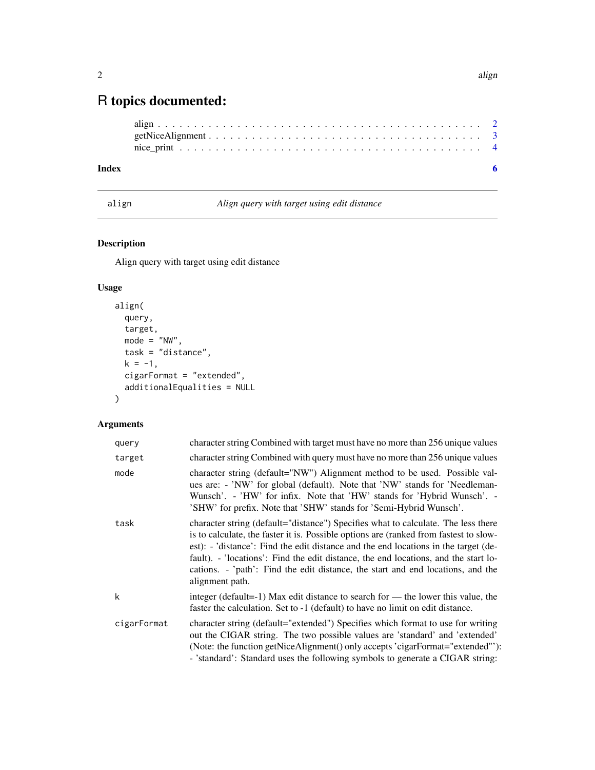### <span id="page-1-0"></span>R topics documented:

```
align . . . . . . . . . . . . . . . . . . . . . . . . . . . . . . . . . . . . . . . . . . . . . 2
getNiceAlignment . . . . . . . . . . . . . . . . . . . . . . . . . . . . . . . . . . . . . . 3
nice_print . . . . . . . . . . . . . . . . . . . . . . . . . . . . . . . . . . . . . . . . . . 4
```
#### **Index** [6](#page-5-0) **6**

align *Align query with target using edit distance*

#### Description

Align query with target using edit distance

#### Usage

```
align(
  query,
  target,
 mode = "NW",task = "distance",
 k = -1,
 cigarFormat = "extended",
  additionalEqualities = NULL
)
```
#### Arguments

| query       | character string Combined with target must have no more than 256 unique values                                                                                                                                                                                                                                                                                                                                                                                 |
|-------------|----------------------------------------------------------------------------------------------------------------------------------------------------------------------------------------------------------------------------------------------------------------------------------------------------------------------------------------------------------------------------------------------------------------------------------------------------------------|
| target      | character string Combined with query must have no more than 256 unique values                                                                                                                                                                                                                                                                                                                                                                                  |
| mode        | character string (default="NW") Alignment method to be used. Possible val-<br>ues are: - 'NW' for global (default). Note that 'NW' stands for 'Needleman-<br>Wunsch'. - 'HW' for infix. Note that 'HW' stands for 'Hybrid Wunsch'. -<br>'SHW' for prefix. Note that 'SHW' stands for 'Semi-Hybrid Wunsch'.                                                                                                                                                     |
| task        | character string (default="distance") Specifies what to calculate. The less there<br>is to calculate, the faster it is. Possible options are (ranked from fastest to slow-<br>est): - 'distance': Find the edit distance and the end locations in the target (de-<br>fault). - 'locations': Find the edit distance, the end locations, and the start lo-<br>cations. - 'path': Find the edit distance, the start and end locations, and the<br>alignment path. |
| k           | integer (default=-1) Max edit distance to search for — the lower this value, the<br>faster the calculation. Set to -1 (default) to have no limit on edit distance.                                                                                                                                                                                                                                                                                             |
| cigarFormat | character string (default="extended") Specifies which format to use for writing<br>out the CIGAR string. The two possible values are 'standard' and 'extended'<br>(Note: the function getNiceAlignment() only accepts 'cigarFormat="extended"'):<br>- 'standard': Standard uses the following symbols to generate a CIGAR string:                                                                                                                              |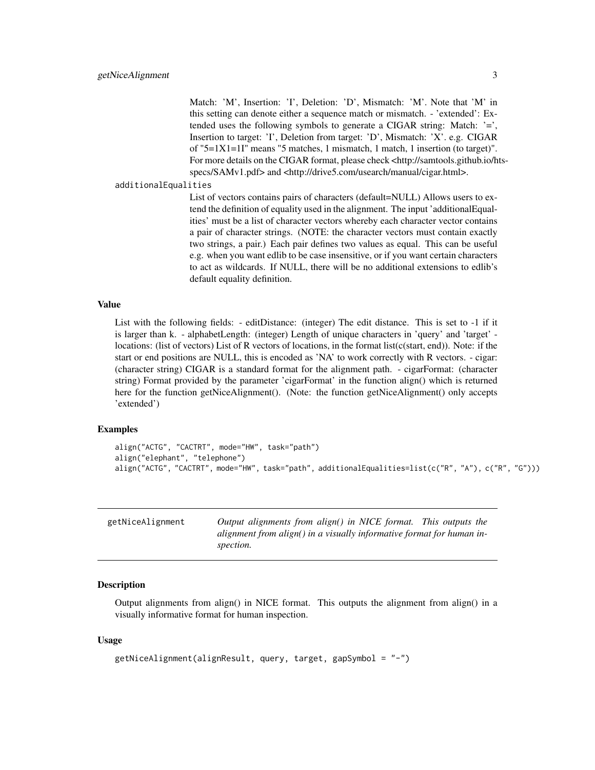<span id="page-2-0"></span>Match: 'M', Insertion: 'I', Deletion: 'D', Mismatch: 'M'. Note that 'M' in this setting can denote either a sequence match or mismatch. - 'extended': Extended uses the following symbols to generate a CIGAR string: Match:  $=$ , Insertion to target: 'I', Deletion from target: 'D', Mismatch: 'X'. e.g. CIGAR of "5=1X1=1I" means "5 matches, 1 mismatch, 1 match, 1 insertion (to target)". For more details on the CIGAR format, please check <http://samtools.github.io/htsspecs/SAMv1.pdf> and <http://drive5.com/usearch/manual/cigar.html>.

additionalEqualities

List of vectors contains pairs of characters (default=NULL) Allows users to extend the definition of equality used in the alignment. The input 'additionalEqualities' must be a list of character vectors whereby each character vector contains a pair of character strings. (NOTE: the character vectors must contain exactly two strings, a pair.) Each pair defines two values as equal. This can be useful e.g. when you want edlib to be case insensitive, or if you want certain characters to act as wildcards. If NULL, there will be no additional extensions to edlib's default equality definition.

#### Value

List with the following fields: - editDistance: (integer) The edit distance. This is set to -1 if it is larger than k. - alphabetLength: (integer) Length of unique characters in 'query' and 'target' locations: (list of vectors) List of R vectors of locations, in the format list(c(start, end)). Note: if the start or end positions are NULL, this is encoded as 'NA' to work correctly with R vectors. - cigar: (character string) CIGAR is a standard format for the alignment path. - cigarFormat: (character string) Format provided by the parameter 'cigarFormat' in the function align() which is returned here for the function getNiceAlignment(). (Note: the function getNiceAlignment() only accepts 'extended')

#### Examples

```
align("ACTG", "CACTRT", mode="HW", task="path")
align("elephant", "telephone")
align("ACTG", "CACTRT", mode="HW", task="path", additionalEqualities=list(c("R", "A"), c("R", "G")))
```

| getNiceAlignment | Output alignments from align() in NICE format. This outputs the       |
|------------------|-----------------------------------------------------------------------|
|                  | alignment from align() in a visually informative format for human in- |
|                  | spection.                                                             |

#### **Description**

Output alignments from align() in NICE format. This outputs the alignment from align() in a visually informative format for human inspection.

#### Usage

```
getNiceAlignment(alignResult, query, target, gapSymbol = "-")
```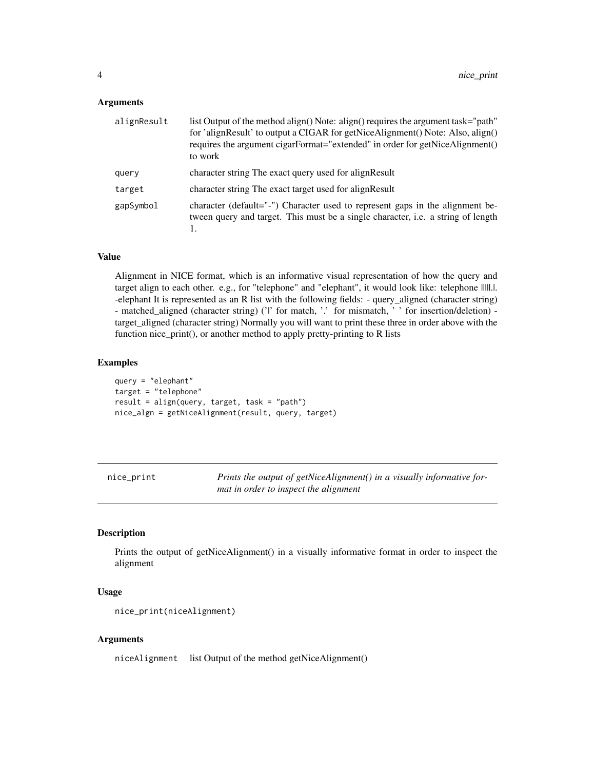#### <span id="page-3-0"></span>**Arguments**

| alignResult | list Output of the method align() Note: align() requires the argument task="path"<br>for 'alignResult' to output a CIGAR for getNiceAlignment() Note: Also, align()<br>requires the argument cigarFormat="extended" in order for getNiceAlignment()<br>to work |
|-------------|----------------------------------------------------------------------------------------------------------------------------------------------------------------------------------------------------------------------------------------------------------------|
| query       | character string The exact query used for align Result                                                                                                                                                                                                         |
| target      | character string The exact target used for align Result                                                                                                                                                                                                        |
| gapSymbol   | character (default="-") Character used to represent gaps in the alignment be-<br>tween query and target. This must be a single character, <i>i.e.</i> a string of length                                                                                       |

#### Value

Alignment in NICE format, which is an informative visual representation of how the query and target align to each other. e.g., for "telephone" and "elephant", it would look like: telephone |||||.|. -elephant It is represented as an R list with the following fields: - query\_aligned (character string) - matched\_aligned (character string) ('|' for match, '.' for mismatch, ' ' for insertion/deletion) target\_aligned (character string) Normally you will want to print these three in order above with the function nice\_print(), or another method to apply pretty-printing to R lists

#### Examples

```
query = "elephant"
target = "telephone"
result = align(query, target, task = "path")
nice_algn = getNiceAlignment(result, query, target)
```
nice\_print *Prints the output of getNiceAlignment() in a visually informative format in order to inspect the alignment*

#### Description

Prints the output of getNiceAlignment() in a visually informative format in order to inspect the alignment

#### Usage

```
nice_print(niceAlignment)
```
#### Arguments

niceAlignment list Output of the method getNiceAlignment()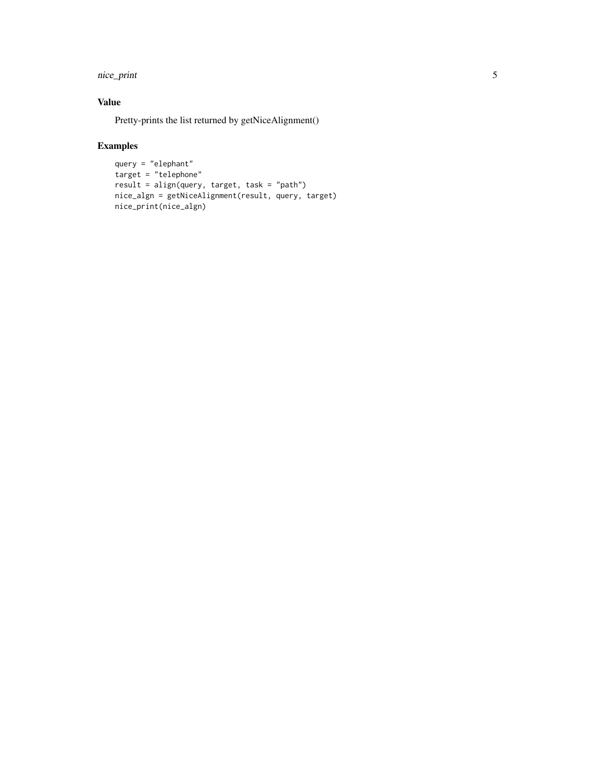nice\_print 5

#### Value

Pretty-prints the list returned by getNiceAlignment()

#### Examples

```
query = "elephant"
target = "telephone"
result = align(query, target, task = "path")
nice_algn = getNiceAlignment(result, query, target)
nice_print(nice_algn)
```